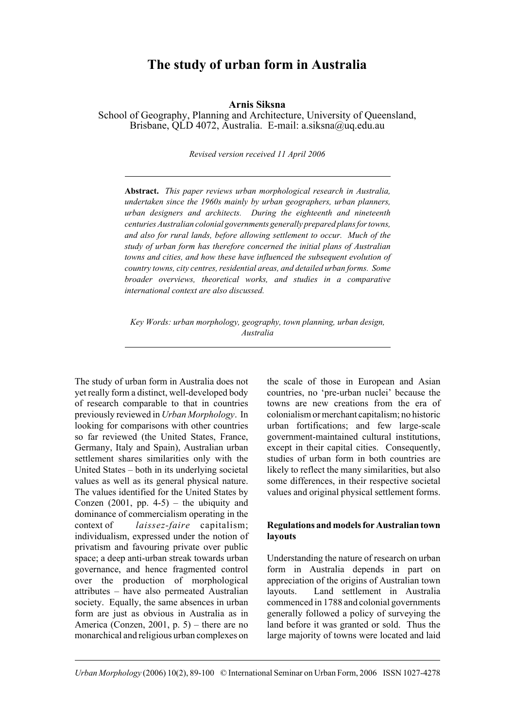# **The study of urban form in Australia**

**Arnis Siksna**

School of Geography, Planning and Architecture, University of Queensland, Brisbane, QLD 4072, Australia. E-mail: a.siksna@uq.edu.au

*Revised version received 11 April 2006*

**Abstract.** *This paper reviews urban morphological research in Australia, undertaken since the 1960s mainly by urban geographers, urban planners, urban designers and architects. During the eighteenth and nineteenth centuries Australian colonial governments generally prepared plans for towns, and also for rural lands, before allowing settlement to occur. Much of the study of urban form has therefore concerned the initial plans of Australian towns and cities, and how these have influenced the subsequent evolution of country towns, city centres, residential areas, and detailed urban forms. Some broader overviews, theoretical works, and studies in a comparative international context are also discussed.*

*Key Words: urban morphology, geography, town planning, urban design, Australia*

The study of urban form in Australia does not yet really form a distinct, well-developed body of research comparable to that in countries previously reviewed in *Urban Morphology*. In looking for comparisons with other countries so far reviewed (the United States, France, Germany, Italy and Spain), Australian urban settlement shares similarities only with the United States – both in its underlying societal values as well as its general physical nature. The values identified for the United States by Conzen  $(2001, pp. 4-5)$  – the ubiquity and dominance of commercialism operating in the context of *laissez-faire* capitalism; individualism, expressed under the notion of privatism and favouring private over public space; a deep anti-urban streak towards urban governance, and hence fragmented control over the production of morphological attributes – have also permeated Australian society. Equally, the same absences in urban form are just as obvious in Australia as in America (Conzen, 2001, p. 5) – there are no monarchical and religious urban complexes on the scale of those in European and Asian countries, no 'pre-urban nuclei' because the towns are new creations from the era of colonialism or merchant capitalism; no historic urban fortifications; and few large-scale government-maintained cultural institutions, except in their capital cities. Consequently, studies of urban form in both countries are likely to reflect the many similarities, but also some differences, in their respective societal values and original physical settlement forms.

#### **Regulations and models for Australian town layouts**

Understanding the nature of research on urban form in Australia depends in part on appreciation of the origins of Australian town layouts. Land settlement in Australia commenced in 1788 and colonial governments generally followed a policy of surveying the land before it was granted or sold. Thus the large majority of towns were located and laid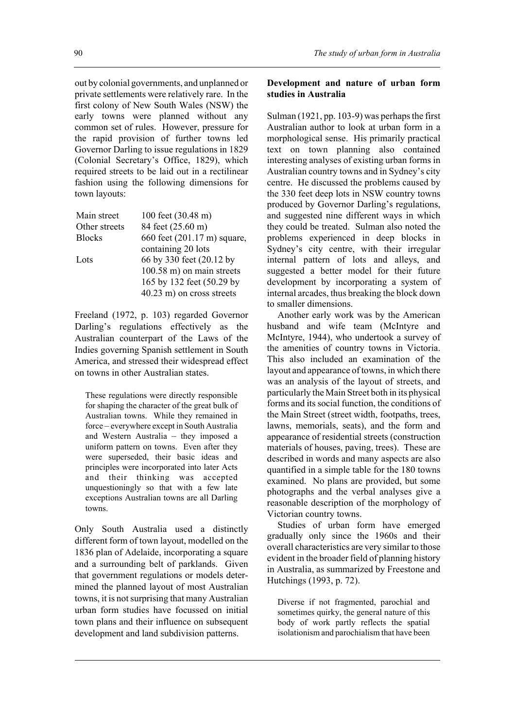out by colonial governments, and unplanned or private settlements were relatively rare. In the first colony of New South Wales (NSW) the early towns were planned without any common set of rules. However, pressure for the rapid provision of further towns led Governor Darling to issue regulations in 1829 (Colonial Secretary's Office, 1829), which required streets to be laid out in a rectilinear fashion using the following dimensions for town layouts:

| 100 feet (30.48 m)          |
|-----------------------------|
| 84 feet (25.60 m)           |
| 660 feet (201.17 m) square, |
| containing 20 lots          |
| 66 by 330 feet (20.12 by    |
| 100.58 m) on main streets   |
| 165 by 132 feet (50.29 by   |
| $40.23$ m) on cross streets |
|                             |

Freeland (1972, p. 103) regarded Governor Darling's regulations effectively as the Australian counterpart of the Laws of the Indies governing Spanish settlement in South America, and stressed their widespread effect on towns in other Australian states.

These regulations were directly responsible for shaping the character of the great bulk of Australian towns. While they remained in force – everywhere except in South Australia and Western Australia – they imposed a uniform pattern on towns. Even after they were superseded, their basic ideas and principles were incorporated into later Acts and their thinking was accepted unquestioningly so that with a few late exceptions Australian towns are all Darling towns.

Only South Australia used a distinctly different form of town layout, modelled on the 1836 plan of Adelaide, incorporating a square and a surrounding belt of parklands. Given that government regulations or models determined the planned layout of most Australian towns, it is not surprising that many Australian urban form studies have focussed on initial town plans and their influence on subsequent development and land subdivision patterns.

#### **Development and nature of urban form studies in Australia**

Sulman (1921, pp. 103-9) was perhaps the first Australian author to look at urban form in a morphological sense. His primarily practical text on town planning also contained interesting analyses of existing urban forms in Australian country towns and in Sydney's city centre. He discussed the problems caused by the 330 feet deep lots in NSW country towns produced by Governor Darling's regulations, and suggested nine different ways in which they could be treated. Sulman also noted the problems experienced in deep blocks in Sydney's city centre, with their irregular internal pattern of lots and alleys, and suggested a better model for their future development by incorporating a system of internal arcades, thus breaking the block down to smaller dimensions.

Another early work was by the American husband and wife team (McIntyre and McIntyre, 1944), who undertook a survey of the amenities of country towns in Victoria. This also included an examination of the layout and appearance of towns, in which there was an analysis of the layout of streets, and particularly the Main Street both in its physical forms and its social function, the conditions of the Main Street (street width, footpaths, trees, lawns, memorials, seats), and the form and appearance of residential streets (construction materials of houses, paving, trees). These are described in words and many aspects are also quantified in a simple table for the 180 towns examined. No plans are provided, but some photographs and the verbal analyses give a reasonable description of the morphology of Victorian country towns.

Studies of urban form have emerged gradually only since the 1960s and their overall characteristics are very similar to those evident in the broader field of planning history in Australia, as summarized by Freestone and Hutchings (1993, p. 72).

Diverse if not fragmented, parochial and sometimes quirky, the general nature of this body of work partly reflects the spatial isolationism and parochialism that have been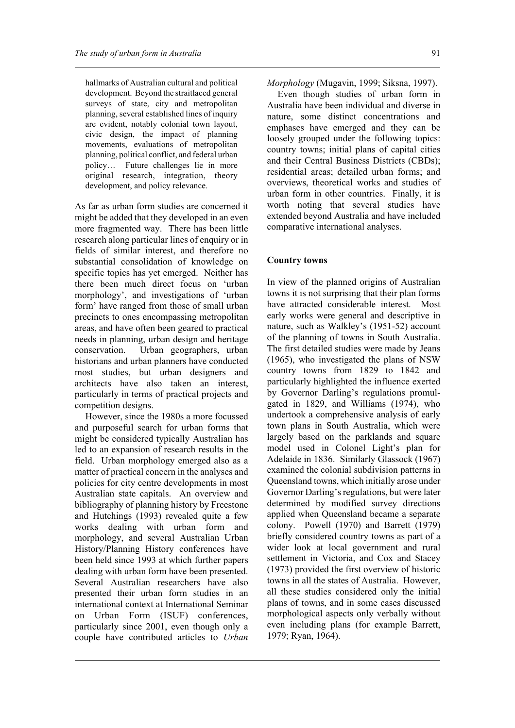hallmarks of Australian cultural and political development. Beyond the straitlaced general surveys of state, city and metropolitan planning, several established lines of inquiry are evident, notably colonial town layout, civic design, the impact of planning movements, evaluations of metropolitan planning, political conflict, and federal urban policy… Future challenges lie in more original research, integration, theory development, and policy relevance.

As far as urban form studies are concerned it might be added that they developed in an even more fragmented way. There has been little research along particular lines of enquiry or in fields of similar interest, and therefore no substantial consolidation of knowledge on specific topics has yet emerged. Neither has there been much direct focus on 'urban morphology', and investigations of 'urban form' have ranged from those of small urban precincts to ones encompassing metropolitan areas, and have often been geared to practical needs in planning, urban design and heritage conservation. Urban geographers, urban historians and urban planners have conducted most studies, but urban designers and architects have also taken an interest, particularly in terms of practical projects and competition designs.

However, since the 1980s a more focussed and purposeful search for urban forms that might be considered typically Australian has led to an expansion of research results in the field. Urban morphology emerged also as a matter of practical concern in the analyses and policies for city centre developments in most Australian state capitals. An overview and bibliography of planning history by Freestone and Hutchings (1993) revealed quite a few works dealing with urban form and morphology, and several Australian Urban History/Planning History conferences have been held since 1993 at which further papers dealing with urban form have been presented. Several Australian researchers have also presented their urban form studies in an international context at International Seminar on Urban Form (ISUF) conferences, particularly since 2001, even though only a couple have contributed articles to *Urban*

*Morphology* (Mugavin, 1999; Siksna, 1997).

Even though studies of urban form in Australia have been individual and diverse in nature, some distinct concentrations and emphases have emerged and they can be loosely grouped under the following topics: country towns; initial plans of capital cities and their Central Business Districts (CBDs); residential areas; detailed urban forms; and overviews, theoretical works and studies of urban form in other countries. Finally, it is worth noting that several studies have extended beyond Australia and have included comparative international analyses.

#### **Country towns**

In view of the planned origins of Australian towns it is not surprising that their plan forms have attracted considerable interest. Most early works were general and descriptive in nature, such as Walkley's (1951-52) account of the planning of towns in South Australia. The first detailed studies were made by Jeans (1965), who investigated the plans of NSW country towns from 1829 to 1842 and particularly highlighted the influence exerted by Governor Darling's regulations promulgated in 1829, and Williams (1974), who undertook a comprehensive analysis of early town plans in South Australia, which were largely based on the parklands and square model used in Colonel Light's plan for Adelaide in 1836. Similarly Glassock (1967) examined the colonial subdivision patterns in Queensland towns, which initially arose under Governor Darling's regulations, but were later determined by modified survey directions applied when Queensland became a separate colony. Powell (1970) and Barrett (1979) briefly considered country towns as part of a wider look at local government and rural settlement in Victoria, and Cox and Stacey (1973) provided the first overview of historic towns in all the states of Australia. However, all these studies considered only the initial plans of towns, and in some cases discussed morphological aspects only verbally without even including plans (for example Barrett, 1979; Ryan, 1964).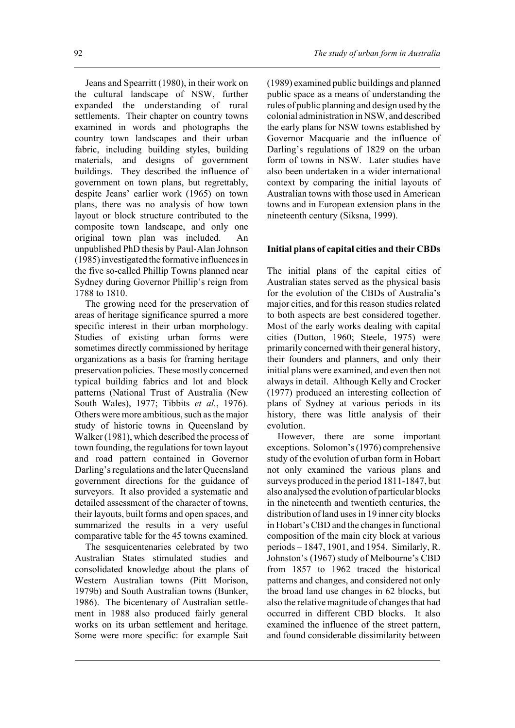Jeans and Spearritt (1980), in their work on the cultural landscape of NSW, further expanded the understanding of rural settlements. Their chapter on country towns examined in words and photographs the country town landscapes and their urban fabric, including building styles, building materials, and designs of government buildings. They described the influence of government on town plans, but regrettably, despite Jeans' earlier work (1965) on town plans, there was no analysis of how town layout or block structure contributed to the composite town landscape, and only one original town plan was included. An unpublished PhD thesis by Paul-Alan Johnson (1985) investigated the formative influences in the five so-called Phillip Towns planned near Sydney during Governor Phillip's reign from 1788 to 1810.

The growing need for the preservation of areas of heritage significance spurred a more specific interest in their urban morphology. Studies of existing urban forms were sometimes directly commissioned by heritage organizations as a basis for framing heritage preservation policies. These mostly concerned typical building fabrics and lot and block patterns (National Trust of Australia (New South Wales), 1977; Tibbits *et al.*, 1976). Others were more ambitious, such as the major study of historic towns in Queensland by Walker (1981), which described the process of town founding, the regulations for town layout and road pattern contained in Governor Darling's regulations and the later Queensland government directions for the guidance of surveyors. It also provided a systematic and detailed assessment of the character of towns, their layouts, built forms and open spaces, and summarized the results in a very useful comparative table for the 45 towns examined.

The sesquicentenaries celebrated by two Australian States stimulated studies and consolidated knowledge about the plans of Western Australian towns (Pitt Morison, 1979b) and South Australian towns (Bunker, 1986). The bicentenary of Australian settlement in 1988 also produced fairly general works on its urban settlement and heritage. Some were more specific: for example Sait

(1989) examined public buildings and planned public space as a means of understanding the rules of public planning and design used by the colonial administration in NSW, and described the early plans for NSW towns established by Governor Macquarie and the influence of Darling's regulations of 1829 on the urban form of towns in NSW. Later studies have also been undertaken in a wider international context by comparing the initial layouts of Australian towns with those used in American towns and in European extension plans in the nineteenth century (Siksna, 1999).

## **Initial plans of capital cities and their CBDs**

The initial plans of the capital cities of Australian states served as the physical basis for the evolution of the CBDs of Australia's major cities, and for this reason studies related to both aspects are best considered together. Most of the early works dealing with capital cities (Dutton, 1960; Steele, 1975) were primarily concerned with their general history, their founders and planners, and only their initial plans were examined, and even then not always in detail. Although Kelly and Crocker (1977) produced an interesting collection of plans of Sydney at various periods in its history, there was little analysis of their evolution.

However, there are some important exceptions. Solomon's (1976) comprehensive study of the evolution of urban form in Hobart not only examined the various plans and surveys produced in the period 1811-1847, but also analysed the evolution of particular blocks in the nineteenth and twentieth centuries, the distribution of land uses in 19 inner city blocks in Hobart's CBD and the changes in functional composition of the main city block at various periods – 1847, 1901, and 1954. Similarly, R. Johnston's (1967) study of Melbourne's CBD from 1857 to 1962 traced the historical patterns and changes, and considered not only the broad land use changes in 62 blocks, but also the relative magnitude of changes that had occurred in different CBD blocks. It also examined the influence of the street pattern, and found considerable dissimilarity between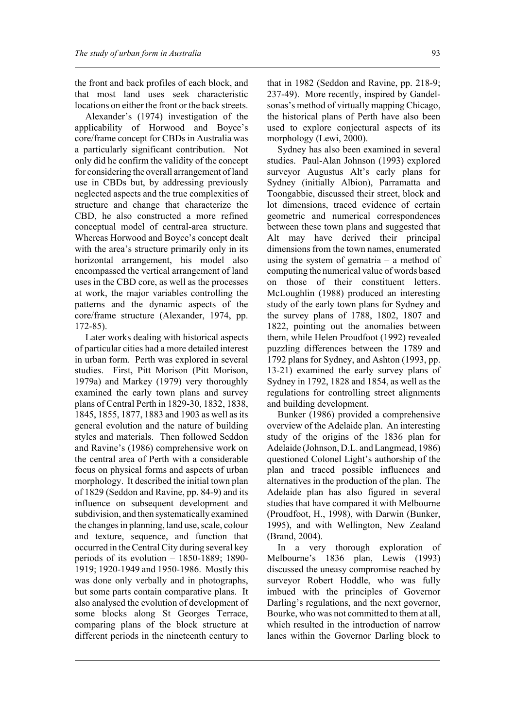the front and back profiles of each block, and that most land uses seek characteristic locations on either the front or the back streets.

Alexander's (1974) investigation of the applicability of Horwood and Boyce's core/frame concept for CBDs in Australia was a particularly significant contribution. Not only did he confirm the validity of the concept for considering the overall arrangement of land use in CBDs but, by addressing previously neglected aspects and the true complexities of structure and change that characterize the CBD, he also constructed a more refined conceptual model of central-area structure. Whereas Horwood and Boyce's concept dealt with the area's structure primarily only in its horizontal arrangement, his model also encompassed the vertical arrangement of land uses in the CBD core, as well as the processes at work, the major variables controlling the patterns and the dynamic aspects of the core/frame structure (Alexander, 1974, pp. 172-85).

Later works dealing with historical aspects of particular cities had a more detailed interest in urban form. Perth was explored in several studies. First, Pitt Morison (Pitt Morison, 1979a) and Markey (1979) very thoroughly examined the early town plans and survey plans of Central Perth in 1829-30, 1832, 1838, 1845, 1855, 1877, 1883 and 1903 as well as its general evolution and the nature of building styles and materials. Then followed Seddon and Ravine's (1986) comprehensive work on the central area of Perth with a considerable focus on physical forms and aspects of urban morphology. It described the initial town plan of 1829 (Seddon and Ravine, pp. 84-9) and its influence on subsequent development and subdivision, and then systematically examined the changes in planning, land use, scale, colour and texture, sequence, and function that occurred in the Central City during several key periods of its evolution – 1850-1889; 1890- 1919; 1920-1949 and 1950-1986. Mostly this was done only verbally and in photographs, but some parts contain comparative plans. It also analysed the evolution of development of some blocks along St Georges Terrace, comparing plans of the block structure at different periods in the nineteenth century to

that in 1982 (Seddon and Ravine, pp. 218-9; 237-49). More recently, inspired by Gandelsonas's method of virtually mapping Chicago, the historical plans of Perth have also been used to explore conjectural aspects of its morphology (Lewi, 2000).

Sydney has also been examined in several studies. Paul-Alan Johnson (1993) explored surveyor Augustus Alt's early plans for Sydney (initially Albion), Parramatta and Toongabbie, discussed their street, block and lot dimensions, traced evidence of certain geometric and numerical correspondences between these town plans and suggested that Alt may have derived their principal dimensions from the town names, enumerated using the system of gematria – a method of computing the numerical value of words based on those of their constituent letters. McLoughlin (1988) produced an interesting study of the early town plans for Sydney and the survey plans of 1788, 1802, 1807 and 1822, pointing out the anomalies between them, while Helen Proudfoot (1992) revealed puzzling differences between the 1789 and 1792 plans for Sydney, and Ashton (1993, pp. 13-21) examined the early survey plans of Sydney in 1792, 1828 and 1854, as well as the regulations for controlling street alignments and building development.

Bunker (1986) provided a comprehensive overview of the Adelaide plan. An interesting study of the origins of the 1836 plan for Adelaide (Johnson, D.L. and Langmead, 1986) questioned Colonel Light's authorship of the plan and traced possible influences and alternatives in the production of the plan. The Adelaide plan has also figured in several studies that have compared it with Melbourne (Proudfoot, H., 1998), with Darwin (Bunker, 1995), and with Wellington, New Zealand (Brand, 2004).

In a very thorough exploration of Melbourne's 1836 plan, Lewis (1993) discussed the uneasy compromise reached by surveyor Robert Hoddle, who was fully imbued with the principles of Governor Darling's regulations, and the next governor, Bourke, who was not committed to them at all, which resulted in the introduction of narrow lanes within the Governor Darling block to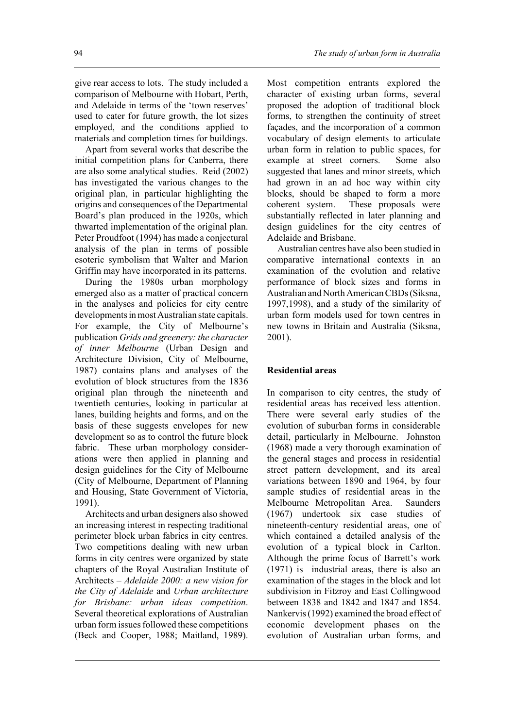give rear access to lots. The study included a comparison of Melbourne with Hobart, Perth, and Adelaide in terms of the 'town reserves' used to cater for future growth, the lot sizes employed, and the conditions applied to materials and completion times for buildings.

Apart from several works that describe the initial competition plans for Canberra, there are also some analytical studies. Reid (2002) has investigated the various changes to the original plan, in particular highlighting the origins and consequences of the Departmental Board's plan produced in the 1920s, which thwarted implementation of the original plan. Peter Proudfoot (1994) has made a conjectural analysis of the plan in terms of possible esoteric symbolism that Walter and Marion Griffin may have incorporated in its patterns.

During the 1980s urban morphology emerged also as a matter of practical concern in the analyses and policies for city centre developments in most Australian state capitals. For example, the City of Melbourne's publication *Grids and greenery: the character of inner Melbourne* (Urban Design and Architecture Division, City of Melbourne, 1987) contains plans and analyses of the evolution of block structures from the 1836 original plan through the nineteenth and twentieth centuries, looking in particular at lanes, building heights and forms, and on the basis of these suggests envelopes for new development so as to control the future block fabric. These urban morphology considerations were then applied in planning and design guidelines for the City of Melbourne (City of Melbourne, Department of Planning and Housing, State Government of Victoria, 1991).

Architects and urban designers also showed an increasing interest in respecting traditional perimeter block urban fabrics in city centres. Two competitions dealing with new urban forms in city centres were organized by state chapters of the Royal Australian Institute of Architects – *Adelaide 2000: a new vision for the City of Adelaide* and *Urban architecture for Brisbane: urban ideas competition*. Several theoretical explorations of Australian urban form issues followed these competitions (Beck and Cooper, 1988; Maitland, 1989).

Most competition entrants explored the character of existing urban forms, several proposed the adoption of traditional block forms, to strengthen the continuity of street façades, and the incorporation of a common vocabulary of design elements to articulate urban form in relation to public spaces, for example at street corners. Some also suggested that lanes and minor streets, which had grown in an ad hoc way within city blocks, should be shaped to form a more coherent system. These proposals were substantially reflected in later planning and design guidelines for the city centres of Adelaide and Brisbane.

Australian centres have also been studied in comparative international contexts in an examination of the evolution and relative performance of block sizes and forms in Australian and North American CBDs (Siksna, 1997,1998), and a study of the similarity of urban form models used for town centres in new towns in Britain and Australia (Siksna, 2001).

#### **Residential areas**

In comparison to city centres, the study of residential areas has received less attention. There were several early studies of the evolution of suburban forms in considerable detail, particularly in Melbourne. Johnston (1968) made a very thorough examination of the general stages and process in residential street pattern development, and its areal variations between 1890 and 1964, by four sample studies of residential areas in the Melbourne Metropolitan Area. Saunders (1967) undertook six case studies of nineteenth-century residential areas, one of which contained a detailed analysis of the evolution of a typical block in Carlton. Although the prime focus of Barrett's work (1971) is industrial areas, there is also an examination of the stages in the block and lot subdivision in Fitzroy and East Collingwood between 1838 and 1842 and 1847 and 1854. Nankervis (1992) examined the broad effect of economic development phases on the evolution of Australian urban forms, and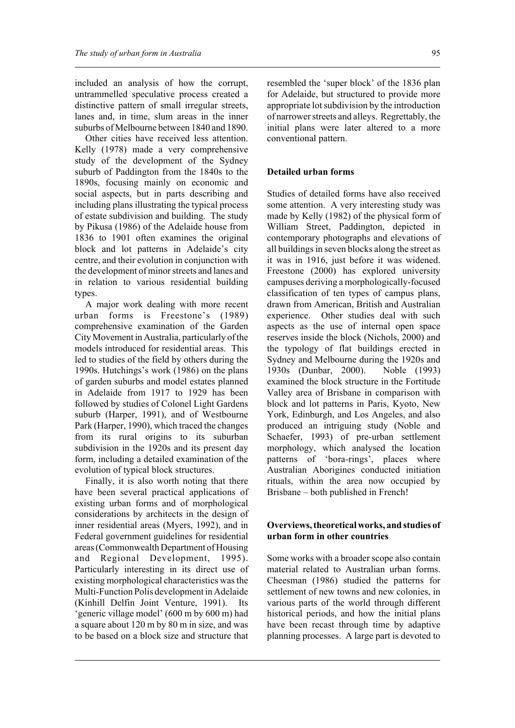included an analysis of how the corrupt, untrammelled speculative process created a distinctive pattern of small irregular streets, lanes and, in time, slum areas in the inner suburbs of Melbourne between 1840 and 1890.

Other cities have received less attention. Kelly (1978) made a very comprehensive study of the development of the Sydney suburb of Paddington from the 1840s to the 1890s, focusing mainly on economic and social aspects, but in parts describing and including plans illustrating the typical process of estate subdivision and building. The study by Pikusa (1986) of the Adelaide house from 1836 to 1901 often examines the original block and lot patterns in Adelaide's city centre, and their evolution in conjunction with the development of minor streets and lanes and in relation to various residential building types.

A major work dealing with more recent urban forms is Freestone's (1989) comprehensive examination of the Garden City Movement in Australia, particularly of the models introduced for residential areas. This led to studies of the field by others during the 1990s. Hutchings's work (1986) on the plans of garden suburbs and model estates planned in Adelaide from 1917 to 1929 has been followed by studies of Colonel Light Gardens suburb (Harper, 1991), and of Westbourne Park (Harper, 1990), which traced the changes from its rural origins to its suburban subdivision in the 1920s and its present day form, including a detailed examination of the evolution of typical block structures.

Finally, it is also worth noting that there have been several practical applications of existing urban forms and of morphological considerations by architects in the design of inner residential areas (Myers, 1992), and in Federal government guidelines for residential areas (Commonwealth Department of Housing and Regional Development, 1995). Particularly interesting in its direct use of existing morphological characteristics was the Multi-Function Polis development in Adelaide (Kinhill Delfin Joint Venture, 1991). Its 'generic village model' (600 m by 600 m) had a square about 120 m by 80 m in size, and was to be based on a block size and structure that

resembled the 'super block' of the 1836 plan for Adelaide, but structured to provide more appropriate lot subdivision by the introduction of narrower streets and alleys. Regrettably, the initial plans were later altered to a more conventional pattern.

#### **Detailed urban forms**

Studies of detailed forms have also received some attention. A very interesting study was made by Kelly (1982) of the physical form of William Street, Paddington, depicted in contemporary photographs and elevations of all buildings in seven blocks along the street as it was in 1916, just before it was widened. Freestone (2000) has explored university campuses deriving a morphologically-focused classification of ten types of campus plans, drawn from American, British and Australian experience. Other studies deal with such aspects as the use of internal open space reserves inside the block (Nichols, 2000) and the typology of flat buildings erected in Sydney and Melbourne during the 1920s and 1930s (Dunbar, 2000). Noble (1993) examined the block structure in the Fortitude Valley area of Brisbane in comparison with block and lot patterns in Paris, Kyoto, New York, Edinburgh, and Los Angeles, and also produced an intriguing study (Noble and Schaefer, 1993) of pre-urban settlement morphology, which analysed the location patterns of 'bora-rings', places where Australian Aborigines conducted initiation rituals, within the area now occupied by Brisbane – both published in French!

#### **Overviews, theoretical works, and studies of urban form in other countries**

Some works with a broader scope also contain material related to Australian urban forms. Cheesman (1986) studied the patterns for settlement of new towns and new colonies, in various parts of the world through different historical periods, and how the initial plans have been recast through time by adaptive planning processes. A large part is devoted to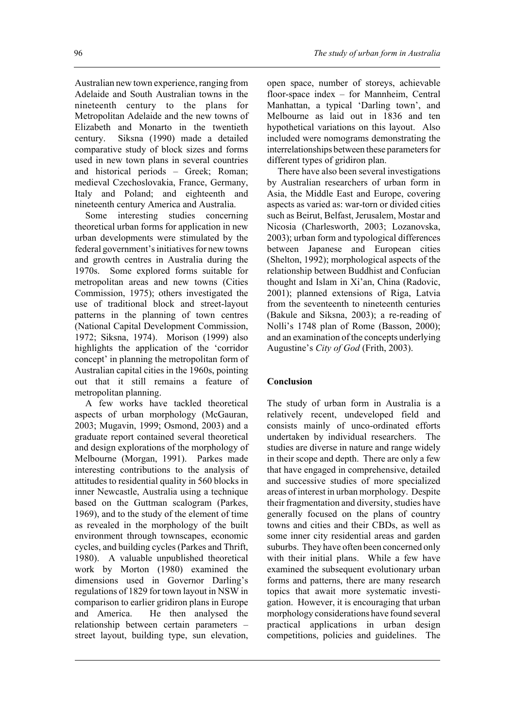Australian new town experience, ranging from Adelaide and South Australian towns in the nineteenth century to the plans for Metropolitan Adelaide and the new towns of Elizabeth and Monarto in the twentieth century. Siksna (1990) made a detailed comparative study of block sizes and forms used in new town plans in several countries and historical periods – Greek; Roman; medieval Czechoslovakia, France, Germany, Italy and Poland; and eighteenth and nineteenth century America and Australia.

Some interesting studies concerning theoretical urban forms for application in new urban developments were stimulated by the federal government's initiatives for new towns and growth centres in Australia during the 1970s. Some explored forms suitable for metropolitan areas and new towns (Cities Commission, 1975); others investigated the use of traditional block and street-layout patterns in the planning of town centres (National Capital Development Commission, 1972; Siksna, 1974). Morison (1999) also highlights the application of the 'corridor concept' in planning the metropolitan form of Australian capital cities in the 1960s, pointing out that it still remains a feature of metropolitan planning.

A few works have tackled theoretical aspects of urban morphology (McGauran, 2003; Mugavin, 1999; Osmond, 2003) and a graduate report contained several theoretical and design explorations of the morphology of Melbourne (Morgan, 1991). Parkes made interesting contributions to the analysis of attitudes to residential quality in 560 blocks in inner Newcastle, Australia using a technique based on the Guttman scalogram (Parkes, 1969), and to the study of the element of time as revealed in the morphology of the built environment through townscapes, economic cycles, and building cycles (Parkes and Thrift, 1980). A valuable unpublished theoretical work by Morton (1980) examined the dimensions used in Governor Darling's regulations of 1829 for town layout in NSW in comparison to earlier gridiron plans in Europe and America. He then analysed the relationship between certain parameters – street layout, building type, sun elevation,

open space, number of storeys, achievable floor-space index – for Mannheim, Central Manhattan, a typical 'Darling town', and Melbourne as laid out in 1836 and ten hypothetical variations on this layout. Also included were nomograms demonstrating the interrelationships between these parameters for different types of gridiron plan.

There have also been several investigations by Australian researchers of urban form in Asia, the Middle East and Europe, covering aspects as varied as: war-torn or divided cities such as Beirut, Belfast, Jerusalem, Mostar and Nicosia (Charlesworth, 2003; Lozanovska, 2003); urban form and typological differences between Japanese and European cities (Shelton, 1992); morphological aspects of the relationship between Buddhist and Confucian thought and Islam in Xi'an, China (Radovic, 2001); planned extensions of Riga, Latvia from the seventeenth to nineteenth centuries (Bakule and Siksna, 2003); a re-reading of Nolli's 1748 plan of Rome (Basson, 2000); and an examination of the concepts underlying Augustine's *City of God* (Frith, 2003).

# **Conclusion**

The study of urban form in Australia is a relatively recent, undeveloped field and consists mainly of unco-ordinated efforts undertaken by individual researchers. The studies are diverse in nature and range widely in their scope and depth. There are only a few that have engaged in comprehensive, detailed and successive studies of more specialized areas of interest in urban morphology. Despite their fragmentation and diversity, studies have generally focused on the plans of country towns and cities and their CBDs, as well as some inner city residential areas and garden suburbs. They have often been concerned only with their initial plans. While a few have examined the subsequent evolutionary urban forms and patterns, there are many research topics that await more systematic investigation. However, it is encouraging that urban morphology considerations have found several practical applications in urban design competitions, policies and guidelines. The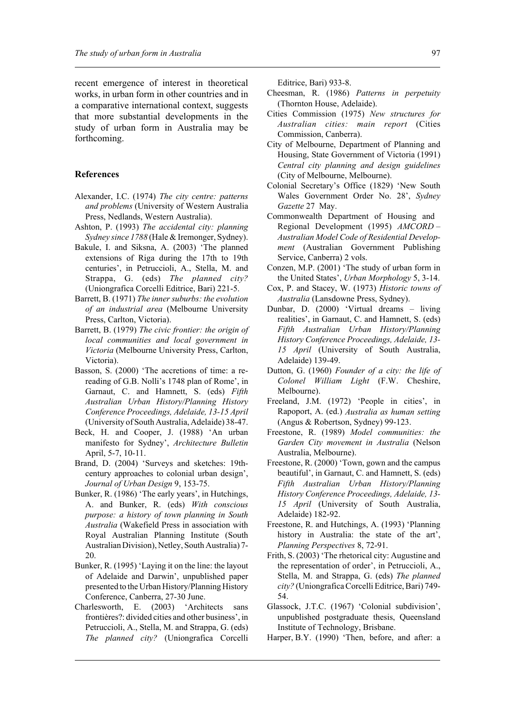recent emergence of interest in theoretical works, in urban form in other countries and in a comparative international context, suggests that more substantial developments in the study of urban form in Australia may be forthcoming.

#### **References**

- Alexander, I.C. (1974) *The city centre: patterns and problems* (University of Western Australia Press, Nedlands, Western Australia).
- Ashton, P. (1993) *The accidental city: planning Sydney since 1788* (Hale & Iremonger, Sydney).
- Bakule, I. and Siksna, A. (2003) 'The planned extensions of Riga during the 17th to 19th centuries', in Petruccioli, A., Stella, M. and Strappa, G. (eds) *The planned city?* (Uniongrafica Corcelli Editrice, Bari) 221-5.
- Barrett, B. (1971) *The inner suburbs: the evolution of an industrial area* (Melbourne University Press, Carlton, Victoria).
- Barrett, B. (1979) *The civic frontier: the origin of local communities and local government in Victoria* (Melbourne University Press, Carlton, Victoria).
- Basson, S. (2000) 'The accretions of time: a rereading of G.B. Nolli's 1748 plan of Rome', in Garnaut, C. and Hamnett, S. (eds) *Fifth Australian Urban History/Planning History Conference Proceedings, Adelaide, 13-15 April* (University of South Australia, Adelaide) 38-47.
- Beck, H. and Cooper, J. (1988) 'An urban manifesto for Sydney', *Architecture Bulletin* April, 5-7, 10-11.
- Brand, D. (2004) 'Surveys and sketches: 19thcentury approaches to colonial urban design', *Journal of Urban Design* 9, 153-75.
- Bunker, R. (1986) 'The early years', in Hutchings, A. and Bunker, R. (eds) *With conscious purpose: a history of town planning in South Australia* (Wakefield Press in association with Royal Australian Planning Institute (South Australian Division), Netley, South Australia) 7- 20.
- Bunker, R. (1995) 'Laying it on the line: the layout of Adelaide and Darwin', unpublished paper presented to the Urban History/Planning History Conference, Canberra, 27-30 June.
- Charlesworth, E. (2003) 'Architects sans frontières?: divided cities and other business', in Petruccioli, A., Stella, M. and Strappa, G. (eds) *The planned city?* (Uniongrafica Corcelli

Editrice, Bari) 933-8.

- Cheesman, R. (1986) *Patterns in perpetuity* (Thornton House, Adelaide).
- Cities Commission (1975) *New structures for Australian cities: main report* (Cities Commission, Canberra).
- City of Melbourne, Department of Planning and Housing, State Government of Victoria (1991) *Central city planning and design guidelines* (City of Melbourne, Melbourne).
- Colonial Secretary's Office (1829) 'New South Wales Government Order No. 28', *Sydney Gazette* 27 May.
- Commonwealth Department of Housing and Regional Development (1995) *AMCORD – Australian Model Code of Residential Development* (Australian Government Publishing Service, Canberra) 2 vols.
- Conzen, M.P. (2001) 'The study of urban form in the United States', *Urban Morphology* 5, 3-14.
- Cox, P. and Stacey, W. (1973) *Historic towns of Australia* (Lansdowne Press, Sydney).
- Dunbar, D. (2000) 'Virtual dreams living realities', in Garnaut, C. and Hamnett, S. (eds) *Fifth Australian Urban History/Planning History Conference Proceedings, Adelaide, 13- 15 April* (University of South Australia, Adelaide) 139-49.
- Dutton, G. (1960) *Founder of a city: the life of Colonel William Light* (F.W. Cheshire, Melbourne).
- Freeland, J.M. (1972) 'People in cities', in Rapoport, A. (ed.) *Australia as human setting* (Angus & Robertson, Sydney) 99-123.
- Freestone, R. (1989) *Model communities: the Garden City movement in Australia* (Nelson Australia, Melbourne).
- Freestone, R. (2000) 'Town, gown and the campus beautiful', in Garnaut, C. and Hamnett, S. (eds) *Fifth Australian Urban History/Planning History Conference Proceedings, Adelaide, 13- 15 April* (University of South Australia, Adelaide) 182-92.
- Freestone, R. and Hutchings, A. (1993) 'Planning history in Australia: the state of the art', *Planning Perspectives* 8, 72-91.
- Frith, S. (2003) 'The rhetorical city: Augustine and the representation of order', in Petruccioli, A., Stella, M. and Strappa, G. (eds) *The planned city?* (Uniongrafica Corcelli Editrice, Bari) 749- 54.
- Glassock, J.T.C. (1967) 'Colonial subdivision', unpublished postgraduate thesis, Queensland Institute of Technology, Brisbane.
- Harper, B.Y. (1990) 'Then, before, and after: a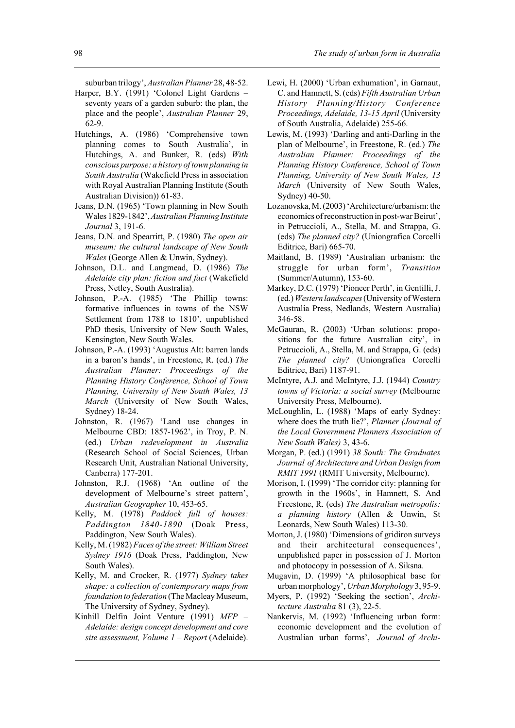suburban trilogy', *Australian Planner* 28, 48-52.

- Harper, B.Y. (1991) 'Colonel Light Gardens seventy years of a garden suburb: the plan, the place and the people', *Australian Planner* 29, 62-9.
- Hutchings, A. (1986) 'Comprehensive town planning comes to South Australia', in Hutchings, A. and Bunker, R. (eds) *With conscious purpose: a history of town planning in South Australia* (Wakefield Press in association with Royal Australian Planning Institute (South Australian Division)) 61-83.
- Jeans, D.N. (1965) 'Town planning in New South Wales 1829-1842', *Australian Planning Institute Journal* 3, 191-6.
- Jeans, D.N. and Spearritt, P. (1980) *The open air museum: the cultural landscape of New South Wales* (George Allen & Unwin, Sydney).
- Johnson, D.L. and Langmead, D. (1986) *The Adelaide city plan: fiction and fact* (Wakefield Press, Netley, South Australia).
- Johnson, P.-A. (1985) 'The Phillip towns: formative influences in towns of the NSW Settlement from 1788 to 1810', unpublished PhD thesis, University of New South Wales, Kensington, New South Wales.
- Johnson, P.-A. (1993) 'Augustus Alt: barren lands in a baron's hands', in Freestone, R. (ed.) *The Australian Planner: Proceedings of the Planning History Conference, School of Town Planning, University of New South Wales, 13 March* (University of New South Wales, Sydney) 18-24.
- Johnston, R. (1967) 'Land use changes in Melbourne CBD: 1857-1962', in Troy, P. N. (ed.) *Urban redevelopment in Australia* (Research School of Social Sciences, Urban Research Unit, Australian National University, Canberra) 177-201.
- Johnston, R.J. (1968) 'An outline of the development of Melbourne's street pattern', *Australian Geographer* 10, 453-65.
- Kelly, M. (1978) *Paddock full of houses: Paddington 1840-1890* (Doak Press, Paddington, New South Wales).
- Kelly, M. (1982) *Faces of the street: William Street Sydney 1916* (Doak Press, Paddington, New South Wales).
- Kelly, M. and Crocker, R. (1977) *Sydney takes shape: a collection of contemporary maps from foundation to federation* (The Macleay Museum, The University of Sydney, Sydney).
- Kinhill Delfin Joint Venture (1991) *MFP – Adelaide: design concept development and core site assessment, Volume 1 – Report* (Adelaide).
- Lewi, H. (2000) 'Urban exhumation', in Garnaut, C. and Hamnett, S. (eds) *Fifth Australian Urban History Planning/History Conference Proceedings, Adelaide, 13-15 April* (University of South Australia, Adelaide) 255-66.
- Lewis, M. (1993) 'Darling and anti-Darling in the plan of Melbourne', in Freestone, R. (ed.) *The Australian Planner: Proceedings of the Planning History Conference, School of Town Planning, University of New South Wales, 13 March* (University of New South Wales, Sydney) 40-50.
- Lozanovska, M. (2003) 'Architecture/urbanism: the economics of reconstruction in post-war Beirut', in Petruccioli, A., Stella, M. and Strappa, G. (eds) *The planned city?* (Uniongrafica Corcelli Editrice, Bari) 665-70.
- Maitland, B. (1989) 'Australian urbanism: the struggle for urban form', *Transition* (Summer/Autumn), 153-60.
- Markey, D.C. (1979) 'Pioneer Perth', in Gentilli, J. (ed.) *Western landscapes* (University of Western Australia Press, Nedlands, Western Australia) 346-58.
- McGauran, R. (2003) 'Urban solutions: propositions for the future Australian city', in Petruccioli, A., Stella, M. and Strappa, G. (eds) *The planned city?* (Uniongrafica Corcelli Editrice, Bari) 1187-91.
- McIntyre, A.J. and McIntyre, J.J. (1944) *Country towns of Victoria: a social survey* (Melbourne University Press, Melbourne).
- McLoughlin, L. (1988) 'Maps of early Sydney: where does the truth lie?', *Planner (Journal of the Local Government Planners Association of New South Wales)* 3, 43-6.
- Morgan, P. (ed.) (1991) *38 South: The Graduates Journal of Architecture and Urban Design from RMIT 1991* (RMIT University, Melbourne).
- Morison, I. (1999) 'The corridor city: planning for growth in the 1960s', in Hamnett, S. And Freestone, R. (eds) *The Australian metropolis: a planning history* (Allen & Unwin, St Leonards, New South Wales) 113-30.
- Morton, J. (1980) 'Dimensions of gridiron surveys and their architectural consequences', unpublished paper in possession of J. Morton and photocopy in possession of A. Siksna.
- Mugavin, D. (1999) 'A philosophical base for urban morphology', *Urban Morphology* 3, 95-9.
- Myers, P. (1992) 'Seeking the section', *Architecture Australia* 81 (3), 22-5.
- Nankervis, M. (1992) 'Influencing urban form: economic development and the evolution of Australian urban forms', *Journal of Archi-*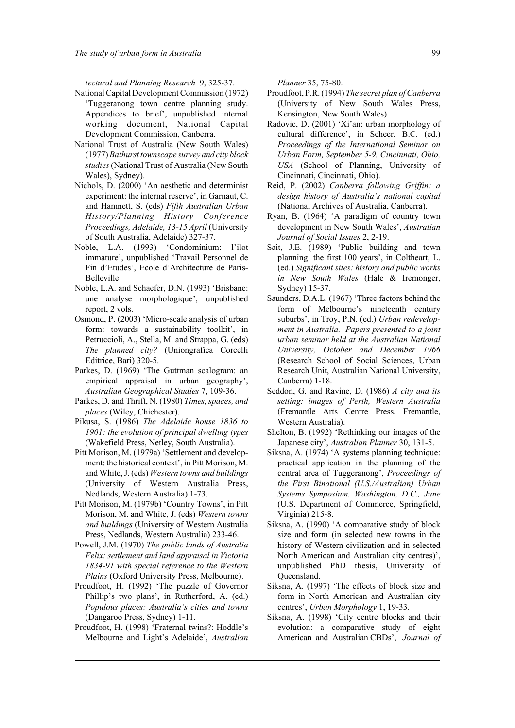*tectural and Planning Research* 9, 325-37.

- National Capital Development Commission (1972) 'Tuggeranong town centre planning study. Appendices to brief', unpublished internal working document, National Capital Development Commission, Canberra.
- National Trust of Australia (New South Wales) (1977) *Bathurst townscape survey and city block studies* (National Trust of Australia (New South Wales), Sydney).
- Nichols, D. (2000) 'An aesthetic and determinist experiment: the internal reserve', in Garnaut, C. and Hamnett, S. (eds) *Fifth Australian Urban History/Planning History Conference Proceedings, Adelaide, 13-15 April* (University of South Australia, Adelaide) 327-37.
- Noble, L.A. (1993) 'Condominium: l'ilot immature', unpublished 'Travail Personnel de Fin d'Etudes', Ecole d'Architecture de Paris-Belleville.
- Noble, L.A. and Schaefer, D.N. (1993) 'Brisbane: une analyse morphologique', unpublished report, 2 vols.
- Osmond, P. (2003) 'Micro-scale analysis of urban form: towards a sustainability toolkit', in Petruccioli, A., Stella, M. and Strappa, G. (eds) *The planned city?* (Uniongrafica Corcelli Editrice, Bari) 320-5.
- Parkes, D. (1969) 'The Guttman scalogram: an empirical appraisal in urban geography', *Australian Geographical Studies* 7, 109-36.
- Parkes, D. and Thrift, N. (1980) *Times, spaces, and places* (Wiley, Chichester).
- Pikusa, S. (1986) *The Adelaide house 1836 to 1901: the evolution of principal dwelling types* (Wakefield Press, Netley, South Australia).
- Pitt Morison, M. (1979a) 'Settlement and development: the historical context', in Pitt Morison, M. and White, J. (eds) *Western towns and buildings* (University of Western Australia Press, Nedlands, Western Australia) 1-73.
- Pitt Morison, M. (1979b) 'Country Towns', in Pitt Morison, M. and White, J. (eds) *Western towns and buildings* (University of Western Australia Press, Nedlands, Western Australia) 233-46.
- Powell, J.M. (1970) *The public lands of Australia Felix: settlement and land appraisal in Victoria 1834-91 with special reference to the Western Plains* (Oxford University Press, Melbourne).
- Proudfoot, H. (1992) 'The puzzle of Governor Phillip's two plans', in Rutherford, A. (ed.) *Populous places: Australia's cities and towns* (Dangaroo Press, Sydney) 1-11.
- Proudfoot, H. (1998) 'Fraternal twins?: Hoddle's Melbourne and Light's Adelaide', *Australian*

*Planner* 35, 75-80.

- Proudfoot, P.R. (1994) *The secret plan of Canberra* (University of New South Wales Press, Kensington, New South Wales).
- Radovic, D. (2001) 'Xi'an: urban morphology of cultural difference', in Scheer, B.C. (ed.) *Proceedings of the International Seminar on Urban Form, September 5-9, Cincinnati, Ohio, USA* (School of Planning, University of Cincinnati, Cincinnati, Ohio).
- Reid, P. (2002) *Canberra following Griffin: a design history of Australia's national capital* (National Archives of Australia, Canberra).
- Ryan, B. (1964) 'A paradigm of country town development in New South Wales', *Australian Journal of Social Issues* 2, 2-19.
- Sait, J.E. (1989) 'Public building and town planning: the first 100 years', in Coltheart, L. (ed.) *Significant sites: history and public works in New South Wales* (Hale & Iremonger, Sydney) 15-37.
- Saunders, D.A.L. (1967) 'Three factors behind the form of Melbourne's nineteenth century suburbs', in Troy, P.N. (ed.) *Urban redevelopment in Australia. Papers presented to a joint urban seminar held at the Australian National University, October and December 1966* (Research School of Social Sciences, Urban Research Unit, Australian National University, Canberra) 1-18.
- Seddon, G. and Ravine, D. (1986) *A city and its setting: images of Perth, Western Australia* (Fremantle Arts Centre Press, Fremantle, Western Australia).
- Shelton, B. (1992) 'Rethinking our images of the Japanese city', *Australian Planner* 30, 131-5.
- Siksna, A. (1974) 'A systems planning technique: practical application in the planning of the central area of Tuggeranong', *Proceedings of the First Binational (U.S./Australian) Urban Systems Symposium, Washington, D.C., June* (U.S. Department of Commerce, Springfield, Virginia) 215-8.
- Siksna, A. (1990) 'A comparative study of block size and form (in selected new towns in the history of Western civilization and in selected North American and Australian city centres)', unpublished PhD thesis, University of Queensland.
- Siksna, A. (1997) 'The effects of block size and form in North American and Australian city centres', *Urban Morphology* 1, 19-33.
- Siksna, A. (1998) 'City centre blocks and their evolution: a comparative study of eight American and Australian CBDs', *Journal of*